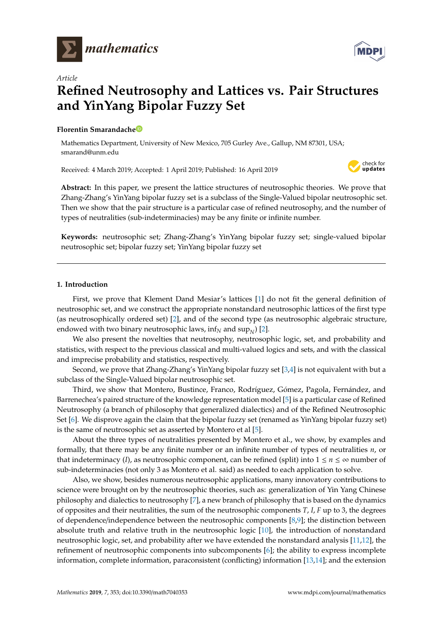



# **Refined Neutrosophy and Lattices vs. Pair Structures and YinYang Bipolar Fuzzy Set**

# **Florentin Smarandach[e](https://orcid.org/0000-0002-5560-5926)**

*Article*

Mathematics Department, University of New Mexico, 705 Gurley Ave., Gallup, NM 87301, USA; smarand@unm.edu

Received: 4 March 2019; Accepted: 1 April 2019; Published: 16 April 2019



**Abstract:** In this paper, we present the lattice structures of neutrosophic theories. We prove that Zhang-Zhang's YinYang bipolar fuzzy set is a subclass of the Single-Valued bipolar neutrosophic set. Then we show that the pair structure is a particular case of refined neutrosophy, and the number of types of neutralities (sub-indeterminacies) may be any finite or infinite number.

**Keywords:** neutrosophic set; Zhang-Zhang's YinYang bipolar fuzzy set; single-valued bipolar neutrosophic set; bipolar fuzzy set; YinYang bipolar fuzzy set

# **1. Introduction**

First, we prove that Klement Dand Mesiar's lattices [\[1\]](#page-13-0) do not fit the general definition of neutrosophic set, and we construct the appropriate nonstandard neutrosophic lattices of the first type (as neutrosophically ordered set) [\[2\]](#page-13-1), and of the second type (as neutrosophic algebraic structure, endowed with two binary neutrosophic laws, inf $_N$  and  $\sup_N$ ) [\[2\]](#page-13-1).

We also present the novelties that neutrosophy, neutrosophic logic, set, and probability and statistics, with respect to the previous classical and multi-valued logics and sets, and with the classical and imprecise probability and statistics, respectively.

Second, we prove that Zhang-Zhang's YinYang bipolar fuzzy set [\[3](#page-13-2)[,4\]](#page-13-3) is not equivalent with but a subclass of the Single-Valued bipolar neutrosophic set.

Third, we show that Montero, Bustince, Franco, Rodríguez, Gómez, Pagola, Fernández, and Barrenechea's paired structure of the knowledge representation model [\[5\]](#page-13-4) is a particular case of Refined Neutrosophy (a branch of philosophy that generalized dialectics) and of the Refined Neutrosophic Set [\[6\]](#page-14-0). We disprove again the claim that the bipolar fuzzy set (renamed as YinYang bipolar fuzzy set) is the same of neutrosophic set as asserted by Montero et al [\[5\]](#page-13-4).

About the three types of neutralities presented by Montero et al., we show, by examples and formally, that there may be any finite number or an infinite number of types of neutralities *n*, or that indeterminacy (*I*), as neutrosophic component, can be refined (split) into  $1 \le n \le \infty$  number of sub-indeterminacies (not only 3 as Montero et al. said) as needed to each application to solve.

Also, we show, besides numerous neutrosophic applications, many innovatory contributions to science were brought on by the neutrosophic theories, such as: generalization of Yin Yang Chinese philosophy and dialectics to neutrosophy [\[7\]](#page-14-1), a new branch of philosophy that is based on the dynamics of opposites and their neutralities, the sum of the neutrosophic components *T*, *I*, *F* up to 3, the degrees of dependence/independence between the neutrosophic components [\[8](#page-14-2)[,9\]](#page-14-3); the distinction between absolute truth and relative truth in the neutrosophic logic [\[10\]](#page-14-4), the introduction of nonstandard neutrosophic logic, set, and probability after we have extended the nonstandard analysis [\[11,](#page-14-5)[12\]](#page-14-6), the refinement of neutrosophic components into subcomponents [\[6\]](#page-14-0); the ability to express incomplete information, complete information, paraconsistent (conflicting) information [\[13,](#page-14-7)[14\]](#page-14-8); and the extension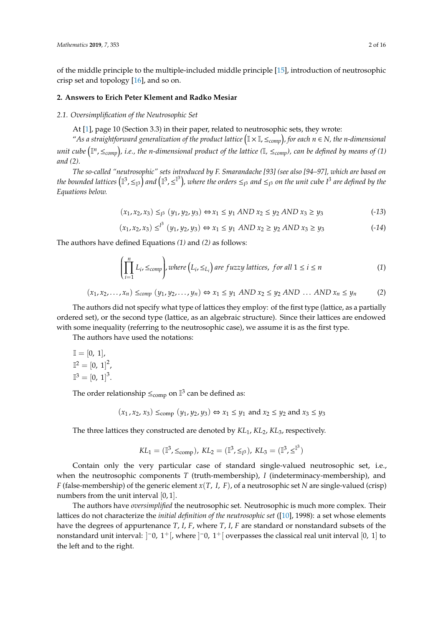of the middle principle to the multiple-included middle principle [\[15\]](#page-14-9), introduction of neutrosophic crisp set and topology [\[16\]](#page-14-10), and so on.

# **2. Answers to Erich Peter Klement and Radko Mesiar**

#### *2.1. Oversimplification of the Neutrosophic Set*

At [\[1\]](#page-13-0), page 10 (Section 3.3) in their paper, related to neutrosophic sets, they wrote:

"*As a straightforward generalization of the product lattice* I <sup>×</sup> I,≤*comp , for each n* ∈ *N, the n-dimensional unit cube* I *n* ,≤*comp , i.e., the n-dimensional product of the lattice (*I*,* ≤*comp), can be defined by means of (1) and (2).*

*The so-called "neutrosophic" sets introduced by F. Smarandache [93] (see also [94–97], which are based on* the bounded lattices  $\left(\mathbb{I}^3,\leq_{\mathbb{I}^3}\right)$  and  $\left(\mathbb{I}^3,\leq^{\mathbb{I}^3}\right)$ , where the orders  $\leq_{I^3}$  and  $\leq_{I^3}$  on the unit cube  $I^3$  are defined by the *Equations below.*

$$
(x_1, x_2, x_3) \leq_{I^3} (y_1, y_2, y_3) \Leftrightarrow x_1 \leq y_1 \text{ AND } x_2 \leq y_2 \text{ AND } x_3 \geq y_3 \tag{13}
$$

$$
(x_1, x_2, x_3) \leq^{1^3} (y_1, y_2, y_3) \Leftrightarrow x_1 \leq y_1 \text{ AND } x_2 \geq y_2 \text{ AND } x_3 \geq y_3 \tag{14}
$$

The authors have defined Equations *(1)* and *(2)* as follows:

$$
\left(\prod_{i=1}^{n} L_{i}, \leq_{comp}\right), where \left(L_{i}, \leq_{L_{i}}\right) are fuzzy lattices, for all 1 \leq i \leq n \tag{1}
$$

$$
(x_1, x_2, \dots, x_n) \leq_{comp} (y_1, y_2, \dots, y_n) \Leftrightarrow x_1 \leq y_1 \text{ AND } x_2 \leq y_2 \text{ AND } \dots \text{ AND } x_n \leq y_n \tag{2}
$$

The authors did not specify what type of lattices they employ: of the first type (lattice, as a partially ordered set), or the second type (lattice, as an algebraic structure). Since their lattices are endowed with some inequality (referring to the neutrosophic case), we assume it is as the first type.

The authors have used the notations:

$$
\mathbb{I} = [0, 1],
$$
  

$$
\mathbb{I}^2 = [0, 1]^2,
$$
  

$$
\mathbb{I}^3 = [0, 1]^3.
$$

The order relationship  $\leq_{\text{comp}}$  on  $\mathbb{I}^3$  can be defined as:

$$
(x_1, x_2, x_3) \leq_{\text{comp}} (y_1, y_2, y_3) \Leftrightarrow x_1 \leq y_1 \text{ and } x_2 \leq y_2 \text{ and } x_3 \leq y_3
$$

The three lattices they constructed are denoted by *KL*1, *KL*2, *KL*3, respectively.

$$
KL_1 = (\mathbb{I}^3, \leq_{\text{comp}}), KL_2 = (\mathbb{I}^3, \leq_{\mathbb{I}^3}), KL_3 = (\mathbb{I}^3, \leq^{\mathbb{I}^3})
$$

Contain only the very particular case of standard single-valued neutrosophic set, i.e., when the neutrosophic components *T* (truth-membership), *I* (indeterminacy-membership), and *F* (false-membership) of the generic element *x*(*T*, *I*, *F*), of a neutrosophic set *N* are single-valued (crisp) numbers from the unit interval [0, 1].

The authors have *oversimplified* the neutrosophic set. Neutrosophic is much more complex. Their lattices do not characterize the *initial definition of the neutrosophic set* ([\[10\]](#page-14-4), 1998): a set whose elements have the degrees of appurtenance *T*, *I*, *F*, where *T*, *I*, *F* are standard or nonstandard subsets of the nonstandard unit interval:  $]$  = 0, 1 + [, where  $]$  = 0, 1 + [ overpasses the classical real unit interval [0, 1] to the left and to the right.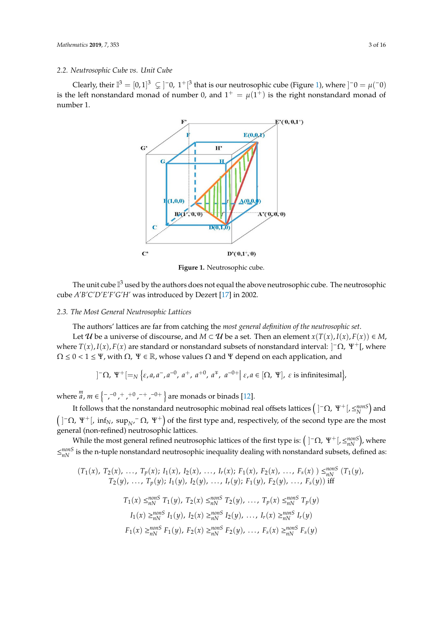# *2.2. Neutrosophic Cube vs. Unit Cube*

<span id="page-2-0"></span>Clearly, their  $\mathbb{I}^3 = [0,1]^3 \subsetneq ]^-0$ ,  $1^+[^3$  that is our neutrosophic cube (Fi[gu](#page-2-0)re 1), where  $]^-0 = \mu(^{-}0)$ is the left nonstandard monad of number 0, and  $1^+ = \mu(1^+)$  is the right nonstandard monad of number 1.



**Figure 1.** Neutrosophic cube. **Figure 1.** Neutrosophic cube.

The unit cube  $\mathbb{I}^3$  used by the authors does not equal the above neutrosophic cube. The neutrosophic neutrosophic cube *A'B'C'D'E'F'G'H'* was introduced by Dezert [17] in 2002. cube *A'B'C'D'E'F'G'H'* was introduced by Dezert [\[17\]](#page-14-11) in 2002.

# *2.3. The Most General Neutrosophic Lattices 2.3. The Most General Neutrosophic Lattices*

The authors' lattices are far from catching the *most general definition of the neutrosophic set*. The authors' lattices are far from catching the *most general definition of the neutrosophic set*.

Let  $\mathcal U$  be a universe of discourse, and  $M \subset \mathcal U$  be a set. Then an element  $x(T(x), I(x), F(x)) \in M$ , where  $T(x)$ ,  $I(x)$ ,  $F(x)$  are standard or nonstandard subsets of nonstandard interval:  $]$ <sup>-</sup> $\Omega$ ,  $\Psi$ <sup>+</sup>[, where  $\Omega \leq 0 < 1 \leq \Psi$ , with  $\Omega$ ,  $\Psi \in \mathbb{R}$ , whose values  $\Omega$  and  $\Psi$  depend on each application, and

$$
]\bigcap \Omega, \Psi^+[\rightleftharpoons_N \{\varepsilon, a, a^-, a^{-0}, a^+, a^{+0}, a^+, a^{-0+}|\varepsilon, a \in [\Omega, \Psi], \varepsilon \text{ is infinitesimal}\}\big)
$$

where where  $\lim_{n \to \infty} m \in \{-, -0, +, +0, -+, -0+ \}$  are monads or binad[s \[1](#page-14-6)2].

It follows that the nonstandard neutrosophic mobinad real offsets lattices  $($ ]<sup>-</sup>Ω, Ψ<sup>+</sup>[, ≤<sup>*nonS*</sup>)</sub> and  $\left(\begin{array}{cc} -\Omega, \Psi^+ \end{array}\right)$ , inf<sub>N</sub>, sup<sub>N</sub>,  $\Omega$ ,  $\Psi^+$ ) of the first type and, respectively, of the second type are the most general (non-refined) neutrosophic lattices. general (non-refined) neutrosophic lattices.

<del>παι (non remica) neutrosophic lattices.</del><br>While the most general refined neutrosophic lattices of the first type is: ( ]<sup>−</sup>Ω, Ψ<sup>+</sup>[, ≤<sup>*nonS*</sup>), where while the nonstandard neutrosophic intensity dealing with nonstandard subsets, defined as  $-n<sub>l</sub>$  $\leq_{nN}^{nonS}$  is the n-tuple nonstandard neutrosophic inequality dealing with nonstandard subsets, defined as:

$$
(T_1(x), T_2(x), ..., T_p(x); I_1(x), I_2(x), ..., I_r(x); F_1(x), F_2(x), ..., F_s(x)) \leq_{nN}^{nons} (T_1(y), T_2(y), ..., T_p(y); I_1(y), I_2(y), ..., I_r(y); F_1(y), F_2(y), ..., F_s(y))
$$
 iff  

$$
T_1(x) \leq_{nN}^{nons} T_1(y), T_2(x) \leq_{nN}^{nons} T_2(y), ..., T_p(x) \leq_{nN}^{nons} T_p(y)
$$

$$
I_1(x) \geq_{nN}^{nons} I_1(y), I_2(x) \geq_{nN}^{nons} I_2(y), ..., I_r(x) \geq_{nN}^{nons} I_r(y)
$$

$$
F_1(x) \geq_{nN}^{nons} F_1(y), F_2(x) \geq_{nN}^{nons} F_2(y), ..., F_s(x) \geq_{nN}^{nons} F_s(y)
$$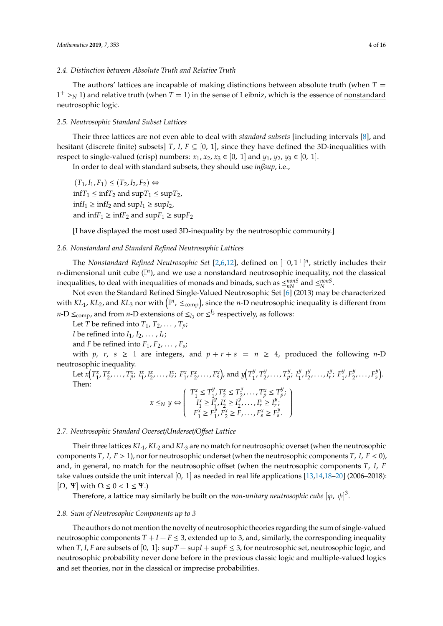# *2.4. Distinction between Absolute Truth and Relative Truth*

The authors' lattices are incapable of making distinctions between absolute truth (when  $T =$  $1^+ >$ <sup>*N*</sup> 1) and relative truth (when *T* = 1) in the sense of Leibniz, which is the essence of <u>nonstandard</u> neutrosophic logic.

#### *2.5. Neutrosophic Standard Subset Lattices*

Their three lattices are not even able to deal with *standard subsets* [including intervals [\[8\]](#page-14-2), and hesitant (discrete finite) subsets] *T*, *I*,  $F \subseteq [0, 1]$ , since they have defined the 3D-inequalities with respect to single-valued (crisp) numbers:  $x_1$ ,  $x_2$ ,  $x_3 \in [0, 1]$  and  $y_1$ ,  $y_2$ ,  $y_3 \in [0, 1]$ .

In order to deal with standard subsets, they should use *inf*/*sup*, i.e.,

 $(T_1, I_1, F_1)$  ≤  $(T_2, I_2, F_2)$  ⇔  $\inf T_1 \leq \inf T_2$  and  $\sup T_1 \leq \sup T_2$ ,  $\inf I_1$  ≥  $\inf I_2$  and  $\sup I_1$  ≥  $\sup I_2$ , and  $\inf F_1 \geq \inf F_2$  and  $\sup F_1 \geq \sup F_2$ 

[I have displayed the most used 3D-inequality by the neutrosophic community.]

# *2.6. Nonstandard and Standard Refined Neutrosophic Lattices*

The *Nonstandard Refined Neutrosophic Set* [\[2](#page-13-1)[,6](#page-14-0)[,12\]](#page-14-6), defined on  $]$ <sup>-</sup>0,1<sup>+</sup>[<sup>*n*</sup>, strictly includes their n-dimensional unit cube ( $\mathbb{I}^n$ ), and we use a nonstandard neutrosophic inequality, not the classical inequalities, to deal with inequalities of monads and binads, such as  $\leq_{nN}^{nonS}$  and  $\leq_{N}^{nonS}$ .

Not even the Standard Refined Single-Valued Neutrosophic Set [\[6\]](#page-14-0) (2013) may be characterized with  $KL_1$ ,  $KL_2$ , and  $KL_3$  nor with  $(\mathbb{I}^n, \leq_{\text{comp}})$ , since the *n*-D neutrosophic inequality is different from *n*-D  $\leq_{\text{comp}}$ , and from *n*-D extensions of  $\leq_{I_3}$  or  $\leq^{I_3}$  respectively, as follows:

Let *T* be refined into  $T_1, T_2, \ldots, T_p$ ; *I* be refined into  $I_1, I_2, \ldots, I_r$ ;

and *F* be refined into  $F_1, F_2, \ldots, F_s;$ 

with *p*, *r*, *s*  $\geq$  1 are integers, and  $p + r + s = n \geq 4$ , produced the following *n*-D neutrosophic inequality.

Let  $x(T_1^x, T_2^x, \ldots, T_p^x; I_1^x, I_2^x, \ldots, I_r^x; F_1^x, F_2^x, \ldots, F_s^x)$ , and  $y(T_1^y, I_2^x, \ldots, I_r^x)$  $T_1^y$ ,  $T_2^y$ 2 , . . . , *T y p* ; *I y*  $I_1^y, I_2^y$  $\frac{y}{2}, \ldots, I_r^y$  $r^y$ ;  $F_1^y$  $T_1^y, F_2^y$  $x_2^y, \ldots, F_s^y$ <sup>y</sup><sub>s</sub>). Then:  $T_1^x \le T_1^y$  $T_1^y, T_2^x \le T_2^y$  $T_p^y, \ldots, T_p^x \leq T_p^y$ *p* ;  $\lambda$ 

$$
x \leq_N y \Leftrightarrow \begin{pmatrix} 1 - x_1y + z_2 - x_2y + y_1y - z_1y \\ I_1^x \geq I_1^y, I_2^x \geq I_2^y, \dots, I_r^x \geq I_r^y; \\ F_1^x \geq F_1^y, F_2^x \geq F, \dots, F_s^x \geq F_s^y. \end{pmatrix}
$$

# *2.7. Neutrosophic Standard Overset*/*Underset*/*O*ff*set Lattice*

Their three lattices *KL*1, *KL*<sup>2</sup> and *KL*<sup>3</sup> are no match for neutrosophic overset (when the neutrosophic components *T*, *I*, *F* > 1), nor for neutrosophic underset (when the neutrosophic components *T*, *I*, *F* < 0), and, in general, no match for the neutrosophic offset (when the neutrosophic components *T*, *I*, *F* take values outside the unit interval [0, 1] as needed in real life applications  $[13,14,18-20]$  $[13,14,18-20]$  $[13,14,18-20]$  $[13,14,18-20]$  (2006–2018):  $[\Omega, \Psi]$  with  $\Omega \leq 0 < 1 \leq \Psi$ .)

Therefore, a lattice may similarly be built on the *non-unitary neutrosophic cube*  $[\varphi, \psi]^3$ .

#### *2.8. Sum of Neutrosophic Components up to 3*

The authors do not mention the novelty of neutrosophic theories regarding the sum of single-valued neutrosophic components  $T + I + F \leq 3$ , extended up to 3, and, similarly, the corresponding inequality when *T*, *I*, *F* are subsets of [0, 1]:  $\sup T + \sup F \leq 3$ , for neutrosophic set, neutrosophic logic, and neutrosophic probability never done before in the previous classic logic and multiple-valued logics and set theories, nor in the classical or imprecise probabilities.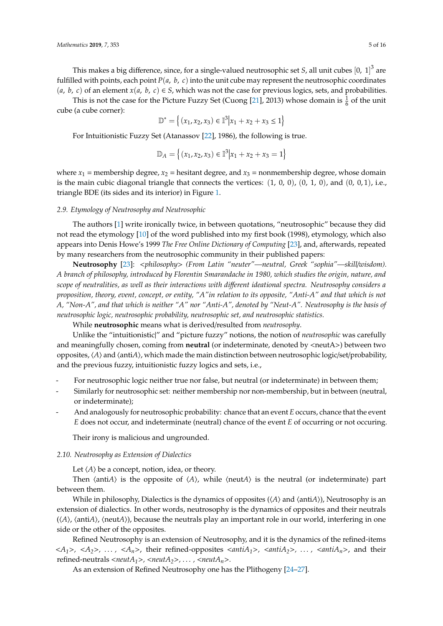This is not the case for the Picture Fuzzy Set (Cuong [\[21\]](#page-14-14), 2013) whose domain is  $\frac{1}{6}$  of the unit cube (a cube corner):

$$
\mathbb{D}^* = \left\{ (x_1, x_2, x_3) \in \mathbb{I}^3 | x_1 + x_2 + x_3 \le 1 \right\}
$$

For Intuitionistic Fuzzy Set (Atanassov [\[22\]](#page-14-15), 1986), the following is true.

$$
\mathbb{D}_A = \left\{ (x_1, x_2, x_3) \in \mathbb{I}^3 | x_1 + x_2 + x_3 = 1 \right\}
$$

where  $x_1$  = membership degree,  $x_2$  = hesitant degree, and  $x_3$  = nonmembership degree, whose domain is the main cubic diagonal triangle that connects the vertices:  $(1, 0, 0)$ ,  $(0, 1, 0)$ , and  $(0, 0, 1)$ , i.e., triangle BDE (its sides and its interior) in Figure [1.](#page-2-0)

# *2.9. Etymology of Neutrosophy and Neutrosophic*

The authors [\[1\]](#page-13-0) write ironically twice, in between quotations, "neutrosophic" because they did not read the etymology [\[10\]](#page-14-4) of the word published into my first book (1998), etymology, which also appears into Denis Howe's 1999 *The Free Online Dictionary of Computing* [\[23\]](#page-14-16), and, afterwards, repeated by many researchers from the neutrosophic community in their published papers:

**Neutrosophy** [\[23\]](#page-14-16): <*philosophy*> *(From Latin "neuter"—neutral, Greek "sophia"—skill*/*wisdom). A branch of philosophy, introduced by Florentin Smarandache in 1980, which studies the origin, nature, and scope of neutralities, as well as their interactions with di*ff*erent ideational spectra. Neutrosophy considers a proposition, theory, event, concept, or entity, "A"in relation to its opposite, "Anti-A" and that which is not A, "Non-A", and that which is neither "A" nor "Anti-A", denoted by "Neut-A". Neutrosophy is the basis of neutrosophic logic, neutrosophic probability, neutrosophic set, and neutrosophic statistics.*

While **neutrosophic** means what is derived/resulted from *neutrosophy*.

Unlike the "intuitionistic|" and "picture fuzzy" notions, the notion of *neutrosophic* was carefully and meaningfully chosen, coming from **neutral** (or indeterminate, denoted by <neutA>) between two opposites,  $\langle A \rangle$  and  $\langle$ anti $\hat{A}$ ), which made the main distinction between neutrosophic logic/set/probability, and the previous fuzzy, intuitionistic fuzzy logics and sets, i.e.,

- For neutrosophic logic neither true nor false, but neutral (or indeterminate) in between them;
- Similarly for neutrosophic set: neither membership nor non-membership, but in between (neutral, or indeterminate);
- And analogously for neutrosophic probability: chance that an event *E* occurs, chance that the event *E* does not occur, and indeterminate (neutral) chance of the event *E* of occurring or not occuring.

Their irony is malicious and ungrounded.

#### *2.10. Neutrosophy as Extension of Dialectics*

Let  $\langle A \rangle$  be a concept, notion, idea, or theory.

Then  $\langle$ anti*A* $\rangle$  is the opposite of  $\langle A \rangle$ , while  $\langle$ neut*A* $\rangle$  is the neutral (or indeterminate) part between them.

While in philosophy, Dialectics is the dynamics of opposites  $(\langle A \rangle$  and  $\langle \text{anti}A \rangle)$ , Neutrosophy is an extension of dialectics. In other words, neutrosophy is the dynamics of opposites and their neutrals  $(\langle A \rangle, \langle \text{anti}A \rangle, \langle \text{neut}A \rangle)$ , because the neutrals play an important role in our world, interfering in one side or the other of the opposites.

Refined Neutrosophy is an extension of Neutrosophy, and it is the dynamics of the refined-items  $\langle A_1 \rangle$ ,  $\langle A_2 \rangle$ , ...,  $\langle A_n \rangle$ , their refined-opposites  $\langle \langle \langle \langle \rangle \rangle$  anti $A_2 \rangle$ , ...,  $\langle \langle \langle \langle \rangle \rangle \rangle$  and their refined-neutrals  $\langle \textit{neut} A_1 \rangle$ ,  $\langle \textit{neut} A_2 \rangle$ , ...,  $\langle \textit{neut} A_n \rangle$ .

As an extension of Refined Neutrosophy one has the Plithogeny [\[24–](#page-14-17)[27\]](#page-14-18).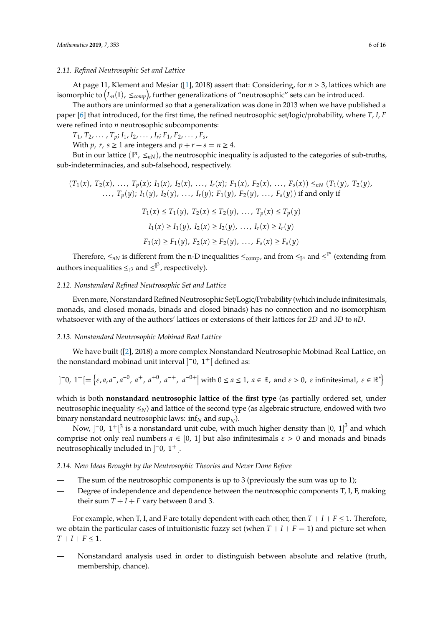# *2.11. Refined Neutrosophic Set and Lattice*

At page 11, Klement and Mesiar ([\[1\]](#page-13-0), 2018) assert that: Considering, for *n* > 3, lattices which are isomorphic to  $(L_n(\mathbb{I}), \leq_{comp})$ , further generalizations of "neutrosophic" sets can be introduced.

The authors are uninformed so that a generalization was done in 2013 when we have published a paper [\[6\]](#page-14-0) that introduced, for the first time, the refined neutrosophic set/logic/probability, where *T*, *I*, *F* were refined into *n* neutrosophic subcomponents:

 $T_1, T_2, \ldots, T_p; I_1, I_2, \ldots, I_r; F_1, F_2, \ldots, F_s,$ 

With *p*, *r*, *s*  $\geq$  1 are integers and  $p + r + s = n \geq 4$ .

But in our lattice  $(\mathbb{I}^n, \leq_{nN})$ , the neutrosophic inequality is adjusted to the categories of sub-truths, sub-indeterminacies, and sub-falsehood, respectively.

$$
(T_1(x), T_2(x), \ldots, T_p(x); I_1(x), I_2(x), \ldots, I_r(x); F_1(x), F_2(x), \ldots, F_s(x)) \leq_{nN} (T_1(y), T_2(y), \ldots, T_p(y); I_1(y), I_2(y), \ldots, I_r(y); F_1(y), F_2(y), \ldots, F_s(y))
$$
if and only if  

$$
T_1(x) \leq T_1(y), T_2(x) \leq T_2(y), \ldots, T_p(x) \leq T_p(y)
$$

$$
I_1(x) \geq I_1(y), I_2(x) \geq I_2(y), \ldots, I_r(x) \geq I_r(y)
$$

$$
F_1(x) \geq F_1(y), F_2(x) \geq F_2(y), \ldots, F_s(x) \geq F_s(y)
$$

Therefore,  $\leq_{nN}$  is different from the n-D inequalities  $\leq_{\text{comp}}$ , and from  $\leq_{\mathbb{I}^n}$  and  $\leq^{\mathbb{I}^n}$  (extending from authors inequalities  $\leq_{\mathbb{I}^3}$  and  $\leq^{\mathbb{I}^3}$ , respectively).

## *2.12. Nonstandard Refined Neutrosophic Set and Lattice*

Even more, Nonstandard Refined Neutrosophic Set/Logic/Probability (which include infinitesimals, monads, and closed monads, binads and closed binads) has no connection and no isomorphism whatsoever with any of the authors' lattices or extensions of their lattices for *2D* and *3D* to *nD*.

# *2.13. Nonstandard Neutrosophic Mobinad Real Lattice*

We have built ([\[2\]](#page-13-1), 2018) a more complex Nonstandard Neutrosophic Mobinad Real Lattice, on the nonstandard mobinad unit interval  $]$ <sup>-</sup>0, 1<sup>+</sup> [ defined as:

$$
]\bar{0},\ 1^+[\equiv \{ \varepsilon, a, a^-, a^{-0}, a^+, a^{+0}, a^{-+}, a^{-0+}|\text{ with }0 \le a \le 1,\ a \in \mathbb{R},\ \text{and}\ \varepsilon > 0,\ \varepsilon\text{ infinitesimal,}\ \varepsilon \in \mathbb{R}^* \}
$$

which is both **nonstandard neutrosophic lattice of the first type** (as partially ordered set, under neutrosophic inequality ≤*N*) and lattice of the second type (as algebraic structure, endowed with two binary nonstandard neutrosophic laws:  $\inf_N$  and  $\sup_N$ ).

Now,  $]$ <sup>-</sup>0,  $1^+$ [<sup>3</sup> is a nonstandard unit cube, with much higher density than [0, 1]<sup>3</sup> and which comprise not only real numbers  $a \in [0, 1]$  but also infinitesimals  $\varepsilon > 0$  and monads and binads neutrosophically included in  $]$ <sup>-</sup>0, 1<sup>+</sup>[.

## *2.14. New Ideas Brought by the Neutrosophic Theories and Never Done Before*

- The sum of the neutrosophic components is up to 3 (previously the sum was up to 1);
- Degree of independence and dependence between the neutrosophic components T, I, F, making their sum  $T + I + F$  vary between 0 and 3.

For example, when T, I, and F are totally dependent with each other, then  $T + I + F \leq 1$ . Therefore, we obtain the particular cases of intuitionistic fuzzy set (when  $T + I + F = 1$ ) and picture set when  $T + I + F \leq 1$ .

— Nonstandard analysis used in order to distinguish between absolute and relative (truth, membership, chance).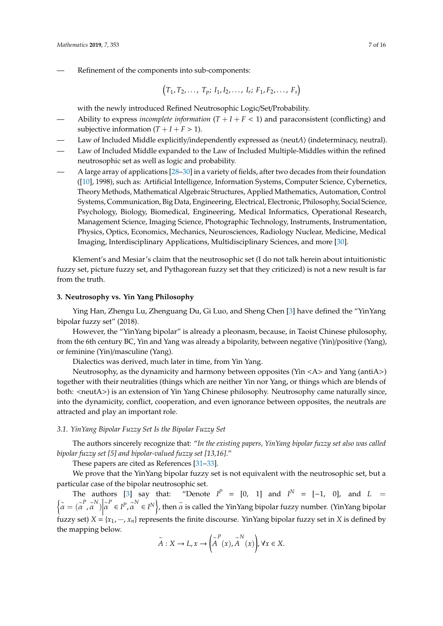$$
(T_1, T_2, \ldots, T_p; I_1, I_2, \ldots, I_r; F_1, F_2, \ldots, F_s)
$$

with the newly introduced Refined Neutrosophic Logic/Set/Probability.

- Ability to express *incomplete information*  $(T + I + F < 1)$  and paraconsistent (conflicting) and subjective information  $(T + I + F > 1)$ .
- Law of Included Middle explicitly/independently expressed as  $\langle \text{neut}A \rangle$  (indeterminacy, neutral).
- Law of Included Middle expanded to the Law of Included Multiple-Middles within the refined neutrosophic set as well as logic and probability.
- A large array of applications [\[28](#page-14-19)[–30\]](#page-15-0) in a variety of fields, after two decades from their foundation ([\[10\]](#page-14-4), 1998), such as: Artificial Intelligence, Information Systems, Computer Science, Cybernetics, Theory Methods, Mathematical Algebraic Structures, Applied Mathematics, Automation, Control Systems, Communication, Big Data, Engineering, Electrical, Electronic, Philosophy, Social Science, Psychology, Biology, Biomedical, Engineering, Medical Informatics, Operational Research, Management Science, Imaging Science, Photographic Technology, Instruments, Instrumentation, Physics, Optics, Economics, Mechanics, Neurosciences, Radiology Nuclear, Medicine, Medical Imaging, Interdisciplinary Applications, Multidisciplinary Sciences, and more [\[30\]](#page-15-0).

Klement's and Mesiar's claim that the neutrosophic set (I do not talk herein about intuitionistic fuzzy set, picture fuzzy set, and Pythagorean fuzzy set that they criticized) is not a new result is far from the truth.

# **3. Neutrosophy vs. Yin Yang Philosophy**

Ying Han, Zhengu Lu, Zhenguang Du, Gi Luo, and Sheng Chen [\[3\]](#page-13-2) have defined the "YinYang bipolar fuzzy set" (2018).

However, the "YinYang bipolar" is already a pleonasm, because, in Taoist Chinese philosophy, from the 6th century BC, Yin and Yang was already a bipolarity, between negative (Yin)/positive (Yang), or feminine (Yin)/masculine (Yang).

Dialectics was derived, much later in time, from Yin Yang.

Neutrosophy, as the dynamicity and harmony between opposites (Yin <A> and Yang (antiA>) together with their neutralities (things which are neither Yin nor Yang, or things which are blends of both: <neutA>) is an extension of Yin Yang Chinese philosophy. Neutrosophy came naturally since, into the dynamicity, conflict, cooperation, and even ignorance between opposites, the neutrals are attracted and play an important role.

# *3.1. YinYang Bipolar Fuzzy Set Is the Bipolar Fuzzy Set*

The authors sincerely recognize that: "*In the existing papers, YinYang bipolar fuzzy set also was called bipolar fuzzy set [5] and bipolar-valued fuzzy set [13,16]*."

These papers are cited as References [\[31–](#page-15-1)[33\]](#page-15-2).

We prove that the YinYang bipolar fuzzy set is not equivalent with the neutrosophic set, but a particular case of the bipolar neutrosophic set.

The authors [\[3\]](#page-13-2) say that: "Denote  $I^P = [0, 1]$  and  $I^N = [-1, 0]$ , and  $L =$  $\left\{ \tilde{\alpha} = (\tilde{\alpha}^P, \tilde{\alpha}^N) \right\}$ fuzzy set)  $X = \{x_1, ..., x_n\}$  represents the finite discourse. YinYang bipolar fuzzy set in *X* is defined by  $\alpha^P$  ∈ *I*<sup>P</sup>,  $\alpha^N$  ∈ *I*<sup>N</sup> $\}$ , then  $\alpha$  is called the YinYang bipolar fuzzy number. (YinYang bipolar the mapping below.

$$
\widetilde{A}: X \to L, x \to \left(\widetilde{A}^{P}(x), \widetilde{A}^{N}(x)\right), \forall x \in X.
$$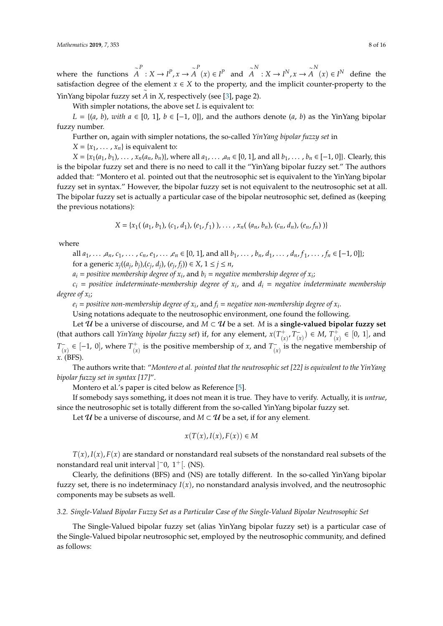where the functions ∼ *A*  $P^P$  :  $X \to I^P$ ,  $x \to \widetilde{A}$ *A P*(*x*) ∈ *I*<sup>*P*</sup> and  $\tilde{A}$ *A N*∴ *X* → *I<sup>N</sup>*, *x* →  $\widetilde{A}$ *A N*(*x*) ∈ *I<sup>N</sup>* define the satisfaction degree of the element *x* ∈ *X* to the property, and the implicit counter-property to the YinYang bipolar fuzzy set *A* in *X*, respectively (see [\[3\]](#page-13-2), page 2).

With simpler notations, the above set *L* is equivalent to:

*L* = { $(a, b)$ , *with*  $a \in [0, 1]$ ,  $b \in [-1, 0]$ }, and the authors denote  $(a, b)$  as the YinYang bipolar fuzzy number.

Further on, again with simpler notations, the so-called *YinYang bipolar fuzzy set* in

 $X = \{x_1, \ldots, x_n\}$  is equivalent to:

 $X = \{x_1(a_1, b_1), \dots, x_n(a_n, b_n)\}\$ , where all  $a_1, \dots, a_n \in [0, 1]$ , and all  $b_1, \dots, b_n \in [-1, 0]\}\$ . Clearly, this is the bipolar fuzzy set and there is no need to call it the "YinYang bipolar fuzzy set." The authors added that: "Montero et al. pointed out that the neutrosophic set is equivalent to the YinYang bipolar fuzzy set in syntax." However, the bipolar fuzzy set is not equivalent to the neutrosophic set at all. The bipolar fuzzy set is actually a particular case of the bipolar neutrosophic set, defined as (keeping the previous notations):

$$
X = \{x_1((a_1, b_1), (c_1, d_1), (e_1, f_1)), \ldots, x_n((a_n, b_n), (c_n, d_n), (e_n, f_n))\}\
$$

where

all  $a_1, \ldots, a_n, c_1, \ldots, c_n, e_1, \ldots, e_n \in [0, 1]$ , and all  $b_1, \ldots, b_n, d_1, \ldots, d_n, f_1, \ldots, f_n \in [-1, 0]$ ; for a generic  $x_j((a_j, b_j), (c_j, d_j), (e_j, f_j)) \in X$ ,  $1 \le j \le n$ ,

 $a_i$  = positive membership degree of  $x_i$ , and  $b_i$  = negative membership degree of  $x_i$ ;

*c<sup>i</sup>* = *positive indeterminate-membership degree of x<sup>i</sup>* , and *d<sup>i</sup>* = *negative indeterminate membership degree of x<sup>i</sup>* ;

 $e_i$  = positive non-membership degree of  $x_i$ , and  $f_i$  = negative non-membership degree of  $x_i$ .

Using notations adequate to the neutrosophic environment, one found the following.

Let  $U$  be a universe of discourse, and  $M \subset U$  be a set. *M* is a **single-valued bipolar fuzzy set** (that authors call *YinYang bipolar fuzzy set*) if, for any element,  $x(T_1)$  $\overline{r}$ <sup>+</sup> $\overline{r}$ <sub> $\overline{r}$ </sub>  $(\alpha)^{-}$  (*x*)  $\in M$ ,  $T_{(x)}^{+}$  $(x)$  ∈ [0, 1], and *T* −  $\binom{m}{x}$  ∈ [-1, 0], where  $T^+_{\binom{x}{x}}$  $\binom{+}{x}$  is the positive membership of *x*, and  $T^-_{(x)}$  $\bar{r}_{(x)}^-$  is the negative membership of *x*. (BFS).

The authors write that: "*Montero et al. pointed that the neutrosophic set [22] is equivalent to the YinYang bipolar fuzzy set in syntax [17]*".

Montero et al.'s paper is cited below as Reference [\[5\]](#page-13-4).

If somebody says something, it does not mean it is true. They have to verify. Actually, it is *untrue*, since the neutrosophic set is totally different from the so-called YinYang bipolar fuzzy set.

Let  $U$  be a universe of discourse, and  $M \subset U$  be a set, if for any element.

$$
x(T(x), I(x), F(x)) \in M
$$

 $T(x)$ ,  $I(x)$ ,  $F(x)$  are standard or nonstandard real subsets of the nonstandard real subsets of the nonstandard real unit interval  $]$ <sup>-</sup>0, 1<sup>+</sup>[. (NS).

Clearly, the definitions (BFS) and (NS) are totally different. In the so-called YinYang bipolar fuzzy set, there is no indeterminacy  $I(x)$ , no nonstandard analysis involved, and the neutrosophic components may be subsets as well.

# *3.2. Single-Valued Bipolar Fuzzy Set as a Particular Case of the Single-Valued Bipolar Neutrosophic Set*

The Single-Valued bipolar fuzzy set (alias YinYang bipolar fuzzy set) is a particular case of the Single-Valued bipolar neutrosophic set, employed by the neutrosophic community, and defined as follows: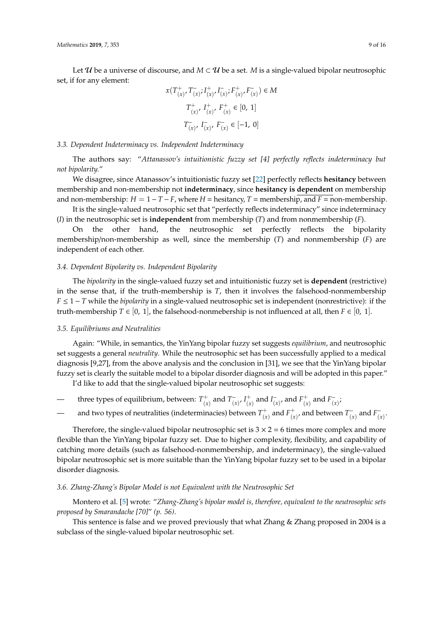Let  $\mathcal U$  be a universe of discourse, and  $M \subset \mathcal U$  be a set. M is a single-valued bipolar neutrosophic set, if for any element:

$$
x(T^+_{(x)}, T^-_{(x)}; I^+_{(x)}, I^-_{(x)}; F^+_{(x)}, F^-_{(x)}) \in M
$$
  

$$
T^+_{(x)}, I^+_{(x)}, F^+_{(x)} \in [0, 1]
$$
  

$$
T^-_{(x)}, I^-_{(x)}, F^-_{(x)} \in [-1, 0]
$$

# *3.3. Dependent Indeterminacy vs. Independent Indeterminacy*

The authors say: "*Attanassov's intuitionistic fuzzy set [4] perfectly reflects indeterminacy but not bipolarity.*"

We disagree, since Atanassov's intuitionistic fuzzy set [\[22\]](#page-14-15) perfectly reflects **hesitancy** between membership and non-membership not **indeterminacy**, since **hesitancy is dependent** on membership and non-membership:  $H = 1 - T - F$ , where  $H =$  hesitancy,  $T =$  membership, and  $F =$  non-membership.

It is the single-valued neutrosophic set that "perfectly reflects indeterminacy" since indeterminacy (*I*) in the neutrosophic set is **independent** from membership (*T*) and from nonmembership (*F*).

On the other hand, the neutrosophic set perfectly reflects the bipolarity membership/non-membership as well, since the membership (*T*) and nonmembership (*F*) are independent of each other.

#### *3.4. Dependent Bipolarity vs. Independent Bipolarity*

The *bipolarity* in the single-valued fuzzy set and intuitionistic fuzzy set is **dependent** (restrictive) in the sense that, if the truth-membership is *T*, then it involves the falsehood-nonmembership *F* ≤ 1 − *T* while the *bipolarity* in a single-valued neutrosophic set is independent (nonrestrictive): if the truth-membership *T* ∈ [0, 1], the falsehood-nonmebership is not influenced at all, then *F* ∈ [0, 1].

#### *3.5. Equilibriums and Neutralities*

Again: "While, in semantics, the YinYang bipolar fuzzy set suggests *equilibrium*, and neutrosophic set suggests a general *neutrality*. While the neutrosophic set has been successfully applied to a medical diagnosis [9,27], from the above analysis and the conclusion in [31], we see that the YinYang bipolar fuzzy set is clearly the suitable model to a bipolar disorder diagnosis and will be adopted in this paper."

I'd like to add that the single-valued bipolar neutrosophic set suggests:

- three types of equilibrium, between:  $T^+_{\alpha}$  $\binom{+}{(x)}$  and  $T^{-}_{(x)}$  $\frac{1}{(x)}$ ,  $I^+_{(x)}$  $\frac{1}{x}$  and  $I_{(x)}^ \bar{f}(x)$ , and  $F^+_{(x)}$  $\binom{+}{x}$  and  $F_{(x)}^ \frac{1}{(x)}$
- and two types of neutralities (indeterminacies) between *T* +  $f_{(x)}^+$  and  $F_{(x)}^+$  $\frac{1}{(x)}$ , and between  $T^{-}_{(x)}$  $\int_{(x)}^{\infty}$  and  $F_{(x)}^ \frac{1}{(x)}$ .

Therefore, the single-valued bipolar neutrosophic set is  $3 \times 2 = 6$  times more complex and more flexible than the YinYang bipolar fuzzy set. Due to higher complexity, flexibility, and capability of catching more details (such as falsehood-nonmembership, and indeterminacy), the single-valued bipolar neutrosophic set is more suitable than the YinYang bipolar fuzzy set to be used in a bipolar disorder diagnosis.

#### *3.6. Zhang-Zhang's Bipolar Model is not Equivalent with the Neutrosophic Set*

Montero et al. [\[5\]](#page-13-4) wrote: "*Zhang-Zhang's bipolar model is, therefore, equivalent to the neutrosophic sets proposed by Smarandache [70]*" *(p. 56)*.

This sentence is false and we proved previously that what Zhang & Zhang proposed in 2004 is a subclass of the single-valued bipolar neutrosophic set.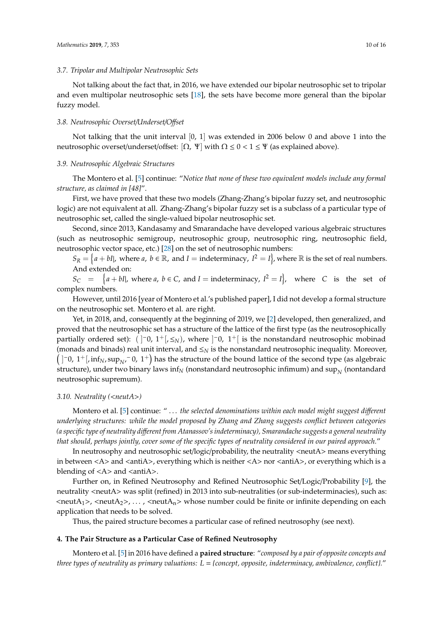## *3.7. Tripolar and Multipolar Neutrosophic Sets*

Not talking about the fact that, in 2016, we have extended our bipolar neutrosophic set to tripolar and even multipolar neutrosophic sets [\[18\]](#page-14-12), the sets have become more general than the bipolar fuzzy model.

#### *3.8. Neutrosophic Overset*/*Underset*/*O*ff*set*

Not talking that the unit interval  $[0, 1]$  was extended in 2006 below 0 and above 1 into the neutrosophic overset/underset/offset:  $[Ω, Ψ]$  with  $Ω ≤ 0 < 1 ≤ Ψ$  (as explained above).

# *3.9. Neutrosophic Algebraic Structures*

The Montero et al. [\[5\]](#page-13-4) continue: "*Notice that none of these two equivalent models include any formal structure, as claimed in [48]*".

First, we have proved that these two models (Zhang-Zhang's bipolar fuzzy set, and neutrosophic logic) are not equivalent at all. Zhang-Zhang's bipolar fuzzy set is a subclass of a particular type of neutrosophic set, called the single-valued bipolar neutrosophic set.

Second, since 2013, Kandasamy and Smarandache have developed various algebraic structures (such as neutrosophic semigroup, neutrosophic group, neutrosophic ring, neutrosophic field, neutrosophic vector space, etc.) [\[28\]](#page-14-19) on the set of neutrosophic numbers:

 $S_R = \big\{a+bl\vert, \text{ where } a, \ b \in \mathbb{R}, \text{ and } I = \text{indeterminacy}, \ I^2 = I\big\}$ , where  $\mathbb R$  is the set of real numbers. And extended on:

 $S_C$  =  $\{a + bI\}$ , where *a*,  $b \in C$ , and *I* = indeterminacy,  $I^2 = I\}$ , where *C* is the set of complex numbers.

However, until 2016 [year of Montero et al.'s published paper], I did not develop a formal structure on the neutrosophic set. Montero et al. are right.

Yet, in 2018, and, consequently at the beginning of 2019, we [\[2\]](#page-13-1) developed, then generalized, and proved that the neutrosophic set has a structure of the lattice of the first type (as the neutrosophically **Partially ordered set):** (  $]$ <sup>-</sup>0, 1<sup>+</sup>[, ≤<sub>*N*</sub>), where  $]$ <sup>-</sup>0, 1<sup>+</sup>[ is the nonstandard neutrosophic mobinad (monads and binads) real unit interval, and ≤*<sup>N</sup>* is the nonstandard neutrosophic inequality. Moreover,  $($   $]$ <sup>-</sup>0, 1<sup>+</sup> $[$ , inf<sub>N</sub>, sup<sub>N</sub><sup>-</sup> 0, 1<sup>+</sup> $]$  has the structure of the bound lattice of the second type (as algebraic structure), under two binary laws inf $_N$  (nonstandard neutrosophic infimum) and  $\sup_N$  (nontandard neutrosophic supremum).

#### *3.10. Neutrality (*<*neutA*>*)*

Montero et al. [\[5\]](#page-13-4) continue: " . . . *the selected denominations within each model might suggest di*ff*erent underlying structures: while the model proposed by Zhang and Zhang suggests conflict between categories (a specific type of neutrality di*ff*erent from Atanassov's indeterminacy), Smarandache suggests a general neutrality that should, perhaps jointly, cover some of the specific types of neutrality considered in our paired approach.*"

In neutrosophy and neutrosophic set/logic/probability, the neutrality <neutA> means everything in between  $\langle A \rangle$  and  $\langle$ anti $A \rangle$ , everything which is neither  $\langle A \rangle$  nor  $\langle$ anti $A \rangle$ , or everything which is a blending of  $\langle A \rangle$  and  $\langle$  anti $A \rangle$ .

Further on, in Refined Neutrosophy and Refined Neutrosophic Set/Logic/Probability [\[9\]](#page-14-3), the neutrality <neutA> was split (refined) in 2013 into sub-neutralities (or sub-indeterminacies), such as:  $\langle \text{neut} A_1 \rangle$ ,  $\langle \text{neut} A_2 \rangle$ , ...,  $\langle \text{neut} A_n \rangle$  whose number could be finite or infinite depending on each application that needs to be solved.

Thus, the paired structure becomes a particular case of refined neutrosophy (see next).

## **4. The Pair Structure as a Particular Case of Refined Neutrosophy**

Montero et al. [\[5\]](#page-13-4) in 2016 have defined a **paired structure**: "*composed by a pair of opposite concepts and three types of neutrality as primary valuations: L* = *{concept, opposite, indeterminacy, ambivalence, conflict}.*"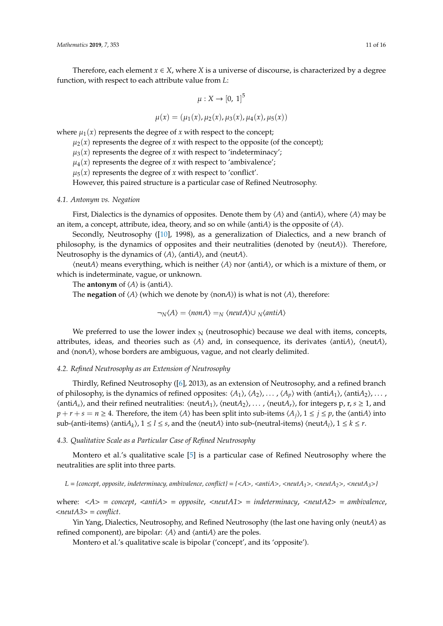Therefore, each element  $x \in X$ , where *X* is a universe of discourse, is characterized by a degree function, with respect to each attribute value from *L*:

$$
\mu: X \to [0, 1]^5
$$

 $\mu(x) = (\mu_1(x), \mu_2(x), \mu_3(x), \mu_4(x), \mu_5(x))$ 

where  $\mu_1(x)$  represents the degree of *x* with respect to the concept;

 $\mu_2(x)$  represents the degree of *x* with respect to the opposite (of the concept);

 $\mu_3(x)$  represents the degree of *x* with respect to 'indeterminacy';

 $\mu_4(x)$  represents the degree of *x* with respect to 'ambivalence';

 $\mu_5(x)$  represents the degree of *x* with respect to 'conflict'.

However, this paired structure is a particular case of Refined Neutrosophy.

# *4.1. Antonym vs. Negation*

First, Dialectics is the dynamics of opposites. Denote them by  $\langle A \rangle$  and  $\langle \text{anti}A \rangle$ , where  $\langle A \rangle$  may be an item, a concept, attribute, idea, theory, and so on while  $\langle \text{anti}A \rangle$  is the opposite of  $\langle A \rangle$ .

Secondly, Neutrosophy ([\[10\]](#page-14-4), 1998), as a generalization of Dialectics, and a new branch of philosophy, is the dynamics of opposites and their neutralities (denoted by  $\langle \text{neut}A \rangle$ ). Therefore, Neutrosophy is the dynamics of  $\langle A \rangle$ ,  $\langle \text{anti}A \rangle$ , and  $\langle \text{neut}A \rangle$ .

 $\langle \text{neut}A \rangle$  means everything, which is neither  $\langle A \rangle$  nor  $\langle \text{anti}A \rangle$ , or which is a mixture of them, or which is indeterminate, vague, or unknown.

The **antonym** of  $\langle A \rangle$  is  $\langle \text{anti}A \rangle$ .

The **negation** of  $\langle A \rangle$  (which we denote by  $\langle \text{non}A \rangle$ ) is what is not  $\langle A \rangle$ , therefore:

$$
\neg_N \langle A \rangle = \langle \text{non} A \rangle =_N \langle \text{neut} A \rangle \cup \sqrt{\langle \text{anti} A \rangle}
$$

We preferred to use the lower index  $_N$  (neutrosophic) because we deal with items, concepts, attributes, ideas, and theories such as  $\langle A \rangle$  and, in consequence, its derivates  $\langle \text{anti}A \rangle$ ,  $\langle \text{neut}A \rangle$ , and  $\langle$ non*A* $\rangle$ , whose borders are ambiguous, vague, and not clearly delimited.

## *4.2. Refined Neutrosophy as an Extension of Neutrosophy*

Thirdly, Refined Neutrosophy ([\[6\]](#page-14-0), 2013), as an extension of Neutrosophy, and a refined branch of philosophy, is the dynamics of refined opposites:  $\langle A_1 \rangle$ ,  $\langle A_2 \rangle$ , . . . ,  $\langle A_p \rangle$  with  $\langle \text{anti}A_1 \rangle$ ,  $\langle \text{anti}A_2 \rangle$ , . . . ,  $\langle \text{antiA}_s \rangle$ , and their refined neutralities:  $\langle \text{neutA}_1 \rangle$ ,  $\langle \text{neutA}_2 \rangle$ , ...,  $\langle \text{neutA}_r \rangle$ , for integers p, r,  $s \ge 1$ , and  $p + r + s = n \ge 4$ . Therefore, the item  $\langle A \rangle$  has been split into sub-items  $\langle A_i \rangle$ ,  $1 \le i \le p$ , the  $\langle \text{anti}A \rangle$  into  $\text{sub-}$ (anti-items)  $\langle \text{anti-}A_k \rangle$ ,  $1 \leq l \leq s$ , and the  $\langle \text{neut-}A \rangle$  into sub-(neutral-items)  $\langle \text{neut-}A_l \rangle$ ,  $1 \leq k \leq r$ .

## *4.3. Qualitative Scale as a Particular Case of Refined Neutrosophy*

Montero et al.'s qualitative scale [\[5\]](#page-13-4) is a particular case of Refined Neutrosophy where the neutralities are split into three parts.

*L* = *{concept, opposite, indeterminacy, ambivalence, conflict}* = *{*<*A*>*,* <*antiA*>*,* <*neutA1*>*,* <*neutA2*>*,* <*neutA3*>*}*

where: <*A*> = *concept*, <*antiA*> = *opposite*, <*neutA1*> = *indeterminacy*, <*neutA2*> = *ambivalence*, <*neutA3*> = *conflict*.

Yin Yang, Dialectics, Neutrosophy, and Refined Neutrosophy (the last one having only  $\langle \text{neut}A \rangle$  as refined component), are bipolar:  $\langle A \rangle$  and  $\langle$  anti $A \rangle$  are the poles.

Montero et al.'s qualitative scale is bipolar ('concept', and its 'opposite').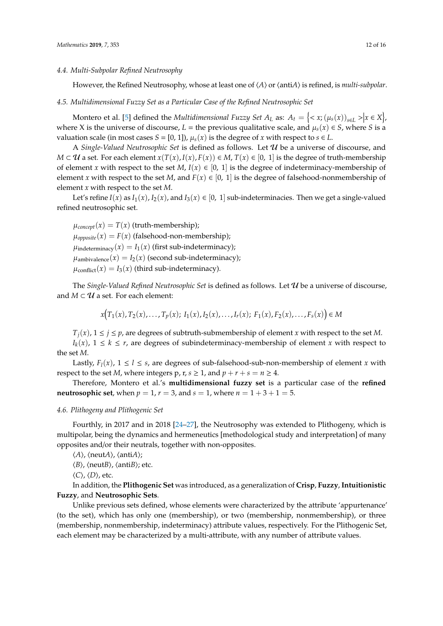#### *4.4. Multi-Subpolar Refined Neutrosophy*

However, the Refined Neutrosophy, whose at least one of  $\langle A \rangle$  or  $\langle$  anti $A \rangle$  is refined, is *multi-subpolar*.

#### *4.5. Multidimensional Fuzzy Set as a Particular Case of the Refined Neutrosophic Set*

Montero et al. [\[5\]](#page-13-4) defined the *Multidimensional Fuzzy Set A<sub>L</sub>* as:  $A_t = \{ \langle x, (\mu_s(x))_{s \in L} > |x \in X \}$ , where X is the universe of discourse,  $L =$  the previous qualitative scale, and  $\mu_s(x) \in S$ , where *S* is a valuation scale (in most cases  $S = [0, 1]$ ),  $\mu_s(x)$  is the degree of *x* with respect to  $s \in L$ .

A *Single-Valued Neutrosophic Set* is defined as follows. Let U be a universe of discourse, and *M* ⊂ *U* a set. For each element *x*(*T*(*x*), *I*(*x*), *F*(*x*)) ∈ *M*, *T*(*x*) ∈ [0, 1] is the degree of truth-membership of element *x* with respect to the set *M*,  $I(x) \in [0, 1]$  is the degree of indeterminacy-membership of element *x* with respect to the set *M*, and  $F(x) \in [0, 1]$  is the degree of falsehood-nonmembership of element *x* with respect to the set *M*.

Let's refine  $I(x)$  as  $I_1(x)$ ,  $I_2(x)$ , and  $I_3(x) \in [0, 1]$  sub-indeterminacies. Then we get a single-valued refined neutrosophic set.

 $\mu_{concept}(x) = T(x)$  (truth-membership);  $\mu_{\text{opposite}}(x) = F(x)$  (falsehood-non-membership);  $\mu$ indeterminacy(*x*) = *I*<sub>1</sub>(*x*) (first sub-indeterminacy);  $\mu_{\text{ambivalence}}(x) = I_2(x)$  (second sub-indeterminacy);  $\mu_{conflict}(x) = I_3(x)$  (third sub-indeterminacy).

The *Single-Valued Refined Neutrosophic Set* is defined as follows. Let U be a universe of discourse, and  $M \subset U$  a set. For each element:

$$
x(T_1(x), T_2(x), \ldots, T_p(x); I_1(x), I_2(x), \ldots, I_r(x); F_1(x), F_2(x), \ldots, F_s(x)) \in M
$$

 $T_i(x)$ ,  $1 \le i \le p$ , are degrees of subtruth-submembership of element *x* with respect to the set *M*. *I*<sub>*k*</sub>(*x*), 1 ≤ *k* ≤ *r*, are degrees of subindeterminacy-membership of element *x* with respect to the set *M*.

Lastly,  $F_l(x)$ ,  $1 \le l \le s$ , are degrees of sub-falsehood-sub-non-membership of element *x* with respect to the set *M*, where integers p, r,  $s \ge 1$ , and  $p + r + s = n \ge 4$ .

Therefore, Montero et al.'s **multidimensional fuzzy set** is a particular case of the **refined neutrosophic set**, when  $p = 1$ ,  $r = 3$ , and  $s = 1$ , where  $n = 1 + 3 + 1 = 5$ .

## *4.6. Plithogeny and Plithogenic Set*

Fourthly, in 2017 and in 2018 [\[24–](#page-14-17)[27\]](#page-14-18), the Neutrosophy was extended to Plithogeny, which is multipolar, being the dynamics and hermeneutics [methodological study and interpretation] of many opposites and/or their neutrals, together with non-opposites.

h*A*i, hneut*A*i, hanti*A*i;

 $\langle B \rangle$ ,  $\langle \text{neut}B \rangle$ ,  $\langle \text{anti}B \rangle$ ; etc.

 $\langle C \rangle$ ,  $\langle D \rangle$ , etc.

In addition, the **Plithogenic Set** was introduced, as a generalization of **Crisp**, **Fuzzy**, **Intuitionistic Fuzzy**, and **Neutrosophic Sets**.

Unlike previous sets defined, whose elements were characterized by the attribute 'appurtenance' (to the set), which has only one (membership), or two (membership, nonmembership), or three (membership, nonmembership, indeterminacy) attribute values, respectively. For the Plithogenic Set, each element may be characterized by a multi-attribute, with any number of attribute values.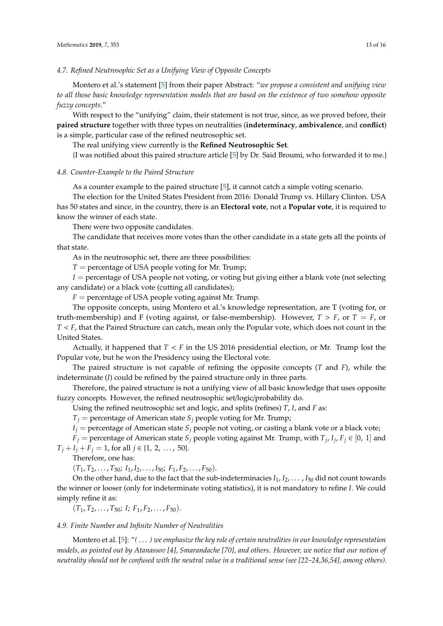*4.7. Refined Neutrosophic Set as a Unifying View of Opposite Concepts*

Montero et al.'s statement [\[5\]](#page-13-4) from their paper Abstract: "*we propose a consistent and unifying view to all those basic knowledge representation models that are based on the existence of two somehow opposite fuzzy concepts.*"

With respect to the "unifying" claim, their statement is not true, since, as we proved before, their **paired structure** together with three types on neutralities (**indeterminacy**, **ambivalence**, and **conflict**) is a simple, particular case of the refined neutrosophic set.

The real unifying view currently is the **Refined Neutrosophic Set**.

{I was notified about this paired structure article [\[5\]](#page-13-4) by Dr. Said Broumi, who forwarded it to me.}

#### *4.8. Counter-Example to the Paired Structure*

As a counter example to the paired structure [\[5\]](#page-13-4), it cannot catch a simple voting scenario.

The election for the United States President from 2016: Donald Trump vs. Hillary Clinton. USA has 50 states and since, in the country, there is an **Electoral vote**, not a **Popular vote**, it is required to know the winner of each state.

There were two opposite candidates.

The candidate that receives more votes than the other candidate in a state gets all the points of that state.

As in the neutrosophic set, there are three possibilities:

 $T =$  percentage of USA people voting for Mr. Trump;

*I* = percentage of USA people not voting, or voting but giving either a blank vote (not selecting any candidate) or a black vote (cutting all candidates);

 $F =$  percentage of USA people voting against Mr. Trump.

The opposite concepts, using Montero et al.'s knowledge representation, are T (voting for, or truth-membership) and F (voting against, or false-membership). However,  $T > F$ , or  $T = F$ , or *T* < *F*, that the Paired Structure can catch, mean only the Popular vote, which does not count in the United States.

Actually, it happened that  $T < F$  in the US 2016 presidential election, or Mr. Trump lost the Popular vote, but he won the Presidency using the Electoral vote.

The paired structure is not capable of refining the opposite concepts (*T* and *F*), while the indeterminate (*I*) could be refined by the paired structure only in three parts.

Therefore, the paired structure is not a unifying view of all basic knowledge that uses opposite fuzzy concepts. However, the refined neutrosophic set/logic/probability do.

Using the refined neutrosophic set and logic, and splits (refines) *T*, *I*, and *F* as:

 $T_i$  = percentage of American state  $S_i$  people voting for Mr. Trump;

 $I_i$  = percentage of American state  $S_i$  people not voting, or casting a blank vote or a black vote;

 $\hat{F}_j$  = percentage of American state  $S_j$  people voting against Mr. Trump, with  $T_j$ ,  $I_j$ ,  $F_j \in [0, 1]$  and  $T_j + I_j + F_j = 1$ , for all  $j \in \{1, 2, ..., 50\}.$ 

Therefore, one has:

 $(T_1, T_2, \ldots, T_{50}; I_1, I_2, \ldots, I_{50}; F_1, F_2, \ldots, F_{50}).$ 

On the other hand, due to the fact that the sub-indeterminacies  $I_1, I_2, \ldots, I_{50}$  did not count towards the winner or looser (only for indeterminate voting statistics), it is not mandatory to refine *I*. We could simply refine it as:

 $(T_1, T_2, \ldots, T_{50};$  *I*;  $F_1, F_2, \ldots, F_{50}$ .

# *4.9. Finite Number and Infinite Number of Neutralities*

Montero et al. [\[5\]](#page-13-4): "*(* . . . *) we emphasize the key role of certain neutralities in our knowledge representation models, as pointed out by Atanassov [4], Smarandache [70], and others. However, we notice that our notion of neutrality should not be confused with the neutral value in a traditional sense (see [22–24,36,54], among others).*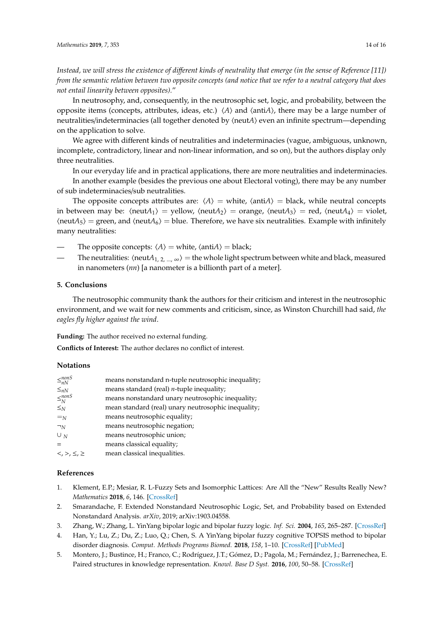*Instead, we will stress the existence of di*ff*erent kinds of neutrality that emerge (in the sense of Reference [11]) from the semantic relation between two opposite concepts (and notice that we refer to a neutral category that does not entail linearity between opposites).*"

In neutrosophy, and, consequently, in the neutrosophic set, logic, and probability, between the opposite items (concepts, attributes, ideas, etc.)  $\langle A \rangle$  and  $\langle \text{anti}A \rangle$ , there may be a large number of neutralities/indeterminacies (all together denoted by  $\langle$ neut*A* $\rangle$  even an infinite spectrum—depending on the application to solve.

We agree with different kinds of neutralities and indeterminacies (vague, ambiguous, unknown, incomplete, contradictory, linear and non-linear information, and so on), but the authors display only three neutralities.

In our everyday life and in practical applications, there are more neutralities and indeterminacies.

In another example (besides the previous one about Electoral voting), there may be any number of sub indeterminacies/sub neutralities.

The opposite concepts attributes are:  $\langle A \rangle$  = white,  $\langle \text{anti}A \rangle$  = black, while neutral concepts in between may be:  $\langle \text{neut}A_1 \rangle$  = yellow,  $\langle \text{neut}A_2 \rangle$  = orange,  $\langle \text{neut}A_3 \rangle$  = red,  $\langle \text{neut}A_4 \rangle$  = violet,  $\langle \text{neut}A_5 \rangle$  = green, and  $\langle \text{neut}A_6 \rangle$  = blue. Therefore, we have six neutralities. Example with infinitely many neutralities:

The opposite concepts:  $\langle A \rangle$  = white,  $\langle \text{anti}A \rangle$  = black;

The neutralities:  $\langle \text{neut}A_{1, 2, ..., \infty} \rangle =$  the whole light spectrum between white and black, measured in nanometers (*nn*) [a nanometer is a billionth part of a meter].

# **5. Conclusions**

The neutrosophic community thank the authors for their criticism and interest in the neutrosophic environment, and we wait for new comments and criticism, since, as Winston Churchill had said, *the eagles fly higher against the wind*.

**Funding:** The author received no external funding.

**Conflicts of Interest:** The author declares no conflict of interest.

# **Notations**

| $\leq_{nN}^{nonS}$                | means nonstandard n-tuple neutrosophic inequality;  |
|-----------------------------------|-----------------------------------------------------|
| $\leq_{nN}$                       | means standard (real) <i>n</i> -tuple inequality;   |
| $\leq_N^{nonS}$                   | means nonstandard unary neutrosophic inequality;    |
| $\leq_N$                          | mean standard (real) unary neutrosophic inequality; |
| $=_{N}$                           | means neutrosophic equality;                        |
| $\neg N$                          | means neutrosophic negation;                        |
| $\cup$ <sub>N</sub>               | means neutrosophic union;                           |
|                                   | means classical equality;                           |
| $\langle , \rangle , \leq , \geq$ | mean classical inequalities.                        |

# **References**

- <span id="page-13-0"></span>1. Klement, E.P.; Mesiar, R. L-Fuzzy Sets and Isomorphic Lattices: Are All the "New" Results Really New? *Mathematics* **2018**, *6*, 146. [\[CrossRef\]](http://dx.doi.org/10.3390/math6090146)
- <span id="page-13-1"></span>2. Smarandache, F. Extended Nonstandard Neutrosophic Logic, Set, and Probability based on Extended Nonstandard Analysis. *arXiv*, 2019; arXiv:1903.04558.
- <span id="page-13-2"></span>3. Zhang, W.; Zhang, L. YinYang bipolar logic and bipolar fuzzy logic. *Inf. Sci.* **2004**, *165*, 265–287. [\[CrossRef\]](http://dx.doi.org/10.1016/j.ins.2003.05.010)
- <span id="page-13-3"></span>4. Han, Y.; Lu, Z.; Du, Z.; Luo, Q.; Chen, S. A YinYang bipolar fuzzy cognitive TOPSIS method to bipolar disorder diagnosis. *Comput. Methods Programs Biomed.* **2018**, *158*, 1–10. [\[CrossRef\]](http://dx.doi.org/10.1016/j.cmpb.2018.02.004) [\[PubMed\]](http://www.ncbi.nlm.nih.gov/pubmed/29544775)
- <span id="page-13-4"></span>5. Montero, J.; Bustince, H.; Franco, C.; Rodríguez, J.T.; Gómez, D.; Pagola, M.; Fernández, J.; Barrenechea, E. Paired structures in knowledge representation. *Knowl. Base D Syst.* **2016**, *100*, 50–58. [\[CrossRef\]](http://dx.doi.org/10.1016/j.knosys.2016.02.003)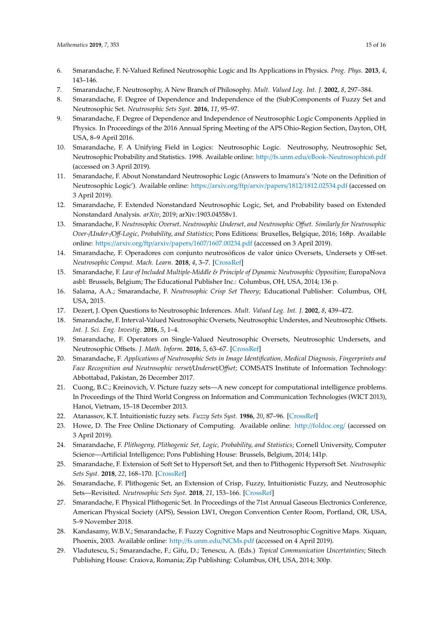- <span id="page-14-0"></span>6. Smarandache, F. N-Valued Refined Neutrosophic Logic and Its Applications in Physics. *Prog. Phys.* **2013**, *4*, 143–146.
- <span id="page-14-1"></span>7. Smarandache, F. Neutrosophy, A New Branch of Philosophy. *Mult. Valued Log. Int. J.* **2002**, *8*, 297–384.
- <span id="page-14-2"></span>8. Smarandache, F. Degree of Dependence and Independence of the (Sub)Components of Fuzzy Set and Neutrosophic Set. *Neutrosophic Sets Syst.* **2016**, *11*, 95–97.
- <span id="page-14-3"></span>9. Smarandache, F. Degree of Dependence and Independence of Neutrosophic Logic Components Applied in Physics. In Proceedings of the 2016 Annual Spring Meeting of the APS Ohio-Region Section, Dayton, OH, USA, 8–9 April 2016.
- <span id="page-14-4"></span>10. Smarandache, F. A Unifying Field in Logics: Neutrosophic Logic. Neutrosophy, Neutrosophic Set, Neutrosophic Probability and Statistics. 1998. Available online: http://fs.unm.edu/[eBook-Neutrosophics6.pdf](http://fs.unm.edu/eBook-Neutrosophics6.pdf) (accessed on 3 April 2019).
- <span id="page-14-5"></span>11. Smarandache, F. About Nonstandard Neutrosophic Logic (Answers to Imamura's 'Note on the Definition of Neutrosophic Logic'). Available online: https://arxiv.org/ftp/arxiv/papers/1812/[1812.02534.pdf](https://arxiv.org/ftp/arxiv/papers/1812/1812.02534.pdf) (accessed on 3 April 2019).
- <span id="page-14-6"></span>12. Smarandache, F. Extended Nonstandard Neutrosophic Logic, Set, and Probability based on Extended Nonstandard Analysis. *arXiv*, 2019; arXiv:1903.04558v1.
- <span id="page-14-7"></span>13. Smarandache, F. *Neutrosophic Overset, Neutrosophic Underset, and Neutrosophic O*ff*set. Similarly for Neutrosophic Over-*/*Under-*/*O*ff*-Logic, Probability, and Statistics*; Pons Editions: Bruxelles, Belgique, 2016; 168p. Available online: https://arxiv.org/ftp/arxiv/papers/1607/[1607.00234.pdf](https://arxiv.org/ftp/arxiv/papers/1607/1607.00234.pdf) (accessed on 3 April 2019).
- <span id="page-14-8"></span>14. Smarandache, F. Operadores con conjunto neutrosóficos de valor único Oversets, Undersets y Off-set. *Neutrosophic Comput. Mach. Learn.* **2018**, *4*, 3–7. [\[CrossRef\]](http://dx.doi.org/10.5281/zenodo.2140877)
- <span id="page-14-9"></span>15. Smarandache, F. *Law of Included Multiple-Middle & Principle of Dynamic Neutrosophic Opposition*; EuropaNova asbl: Brussels, Belgium; The Educational Publisher Inc.: Columbus, OH, USA, 2014; 136 p.
- <span id="page-14-10"></span>16. Salama, A.A.; Smarandache, F. *Neutrosophic Crisp Set Theory*; Educational Publisher: Columbus, OH, USA, 2015.
- <span id="page-14-11"></span>17. Dezert, J. Open Questions to Neutrosophic Inferences. *Mult. Valued Log. Int. J.* **2002**, *8*, 439–472.
- <span id="page-14-12"></span>18. Smarandache, F. Interval-Valued Neutrosophic Oversets, Neutrosophic Understes, and Neutrosophic Offsets. *Int. J. Sci. Eng. Investig.* **2016**, *5*, 1–4.
- 19. Smarandache, F. Operators on Single-Valued Neutrosophic Oversets, Neutrosophic Undersets, and Neutrosophic Offsets. *J. Math. Inform.* **2016**, *5*, 63–67. [\[CrossRef\]](http://dx.doi.org/10.5958/2320-3226.2016.00007.2)
- <span id="page-14-13"></span>20. Smarandache, F. *Applications of Neutrosophic Sets in Image Identification, Medical Diagnosis, Fingerprints and Face Recognition and Neutrosophic verset*/*Underset*/*O*ff*set*; COMSATS Institute of Information Technology: Abbottabad, Pakistan, 26 December 2017.
- <span id="page-14-14"></span>21. Cuong, B.C.; Kreinovich, V. Picture fuzzy sets—A new concept for computational intelligence problems. In Proceedings of the Third World Congress on Information and Communication Technologies (WICT 2013), Hanoi, Vietnam, 15–18 December 2013.
- <span id="page-14-15"></span>22. Atanassov, K.T. Intuitionistic fuzzy sets. *Fuzzy Sets Syst.* **1986**, *20*, 87–96. [\[CrossRef\]](http://dx.doi.org/10.1016/S0165-0114(86)80034-3)
- <span id="page-14-16"></span>23. Howe, D. The Free Online Dictionary of Computing. Available online: http://[foldoc.org](http://foldoc.org/)/ (accessed on 3 April 2019).
- <span id="page-14-17"></span>24. Smarandache, F. *Plithogeny, Plithogenic Set, Logic, Probability, and Statistics*; Cornell University, Computer Science—Artificial Intelligence; Pons Publishing House: Brussels, Belgium, 2014; 141p.
- 25. Smarandache, F. Extension of Soft Set to Hypersoft Set, and then to Plithogenic Hypersoft Set. *Neutrosophic Sets Syst.* **2018**, *22*, 168–170. [\[CrossRef\]](http://dx.doi.org/10.5281/zenodo.2159754)
- 26. Smarandache, F. Plithogenic Set, an Extension of Crisp, Fuzzy, Intuitionistic Fuzzy, and Neutrosophic Sets—Revisited. *Neutrosophic Sets Syst.* **2018**, *21*, 153–166. [\[CrossRef\]](http://dx.doi.org/10.5281/zenodo.1408740)
- <span id="page-14-18"></span>27. Smarandache, F. Physical Plithogenic Set. In Proceedings of the 71st Annual Gaseous Electronics Conference, American Physical Society (APS), Session LW1, Oregon Convention Center Room, Portland, OR, USA, 5–9 November 2018.
- <span id="page-14-19"></span>28. Kandasamy, W.B.V.; Smarandache, F. Fuzzy Cognitive Maps and Neutrosophic Cognitive Maps. Xiquan, Phoenix, 2003. Available online: http://[fs.unm.edu](http://fs.unm.edu/NCMs.pdf)/NCMs.pdf (accessed on 4 April 2019).
- 29. Vladutescu, S.; Smarandache, F.; Gifu, D.; Tenescu, A. (Eds.) *Topical Communication Uncertainties*; Sitech Publishing House: Craiova, Romania; Zip Publishing: Columbus, OH, USA, 2014; 300p.